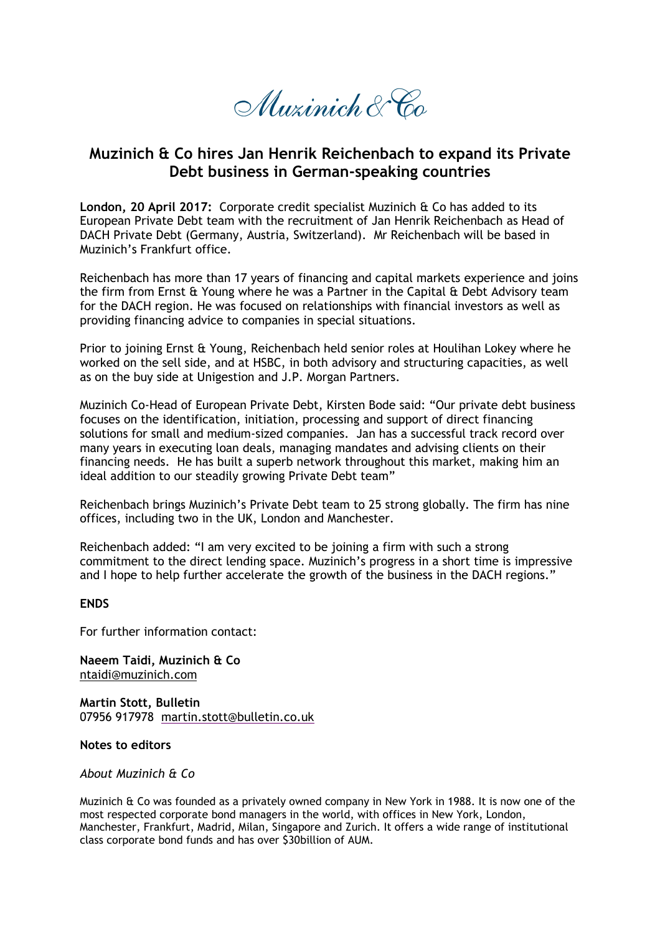Muzinich & Co

## **Muzinich & Co hires Jan Henrik Reichenbach to expand its Private Debt business in German-speaking countries**

**London, 20 April 2017:** Corporate credit specialist Muzinich & Co has added to its European Private Debt team with the recruitment of Jan Henrik Reichenbach as Head of DACH Private Debt (Germany, Austria, Switzerland). Mr Reichenbach will be based in Muzinich's Frankfurt office.

Reichenbach has more than 17 years of financing and capital markets experience and joins the firm from Ernst & Young where he was a Partner in the Capital & Debt Advisory team for the DACH region. He was focused on relationships with financial investors as well as providing financing advice to companies in special situations.

Prior to joining Ernst & Young, Reichenbach held senior roles at Houlihan Lokey where he worked on the sell side, and at HSBC, in both advisory and structuring capacities, as well as on the buy side at Unigestion and J.P. Morgan Partners.

Muzinich Co-Head of European Private Debt, Kirsten Bode said: "Our private debt business focuses on the identification, initiation, processing and support of direct financing solutions for small and medium-sized companies. Jan has a successful track record over many years in executing loan deals, managing mandates and advising clients on their financing needs. He has built a superb network throughout this market, making him an ideal addition to our steadily growing Private Debt team"

Reichenbach brings Muzinich's Private Debt team to 25 strong globally. The firm has nine offices, including two in the UK, London and Manchester.

Reichenbach added: "I am very excited to be joining a firm with such a strong commitment to the direct lending space. Muzinich's progress in a short time is impressive and I hope to help further accelerate the growth of the business in the DACH regions."

## **ENDS**

For further information contact:

**Naeem Taidi, Muzinich & Co** ntaidi@muzinich.com

**Martin Stott, Bulletin** 07956 917978 [martin.stott@bulletin.co.uk](mailto:martin.stott@bulletin.co.uk)

**Notes to editors**

*About Muzinich & Co*

Muzinich & Co was founded as a privately owned company in New York in 1988. It is now one of the most respected corporate bond managers in the world, with offices in New York, London, Manchester, Frankfurt, Madrid, Milan, Singapore and Zurich. It offers a wide range of institutional class corporate bond funds and has over \$30billion of AUM.